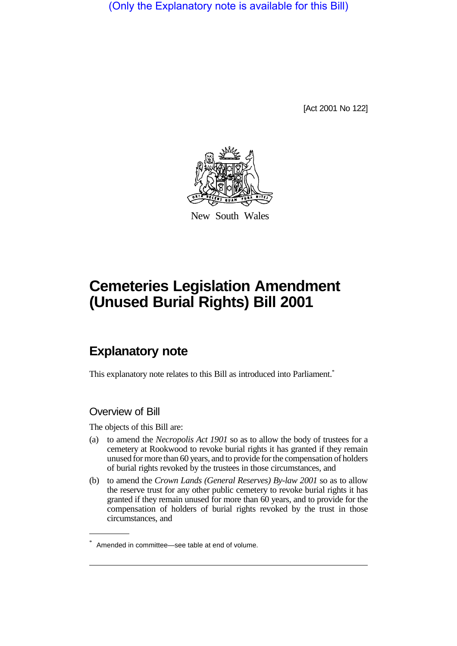(Only the Explanatory note is available for this Bill)

[Act 2001 No 122]



New South Wales

# **Cemeteries Legislation Amendment (Unused Burial Rights) Bill 2001**

## **Explanatory note**

This explanatory note relates to this Bill as introduced into Parliament.<sup>\*</sup>

## Overview of Bill

The objects of this Bill are:

- (a) to amend the *Necropolis Act 1901* so as to allow the body of trustees for a cemetery at Rookwood to revoke burial rights it has granted if they remain unused for more than 60 years, and to provide for the compensation of holders of burial rights revoked by the trustees in those circumstances, and
- (b) to amend the *Crown Lands (General Reserves) By-law 2001* so as to allow the reserve trust for any other public cemetery to revoke burial rights it has granted if they remain unused for more than 60 years, and to provide for the compensation of holders of burial rights revoked by the trust in those circumstances, and

<sup>\*</sup> Amended in committee—see table at end of volume.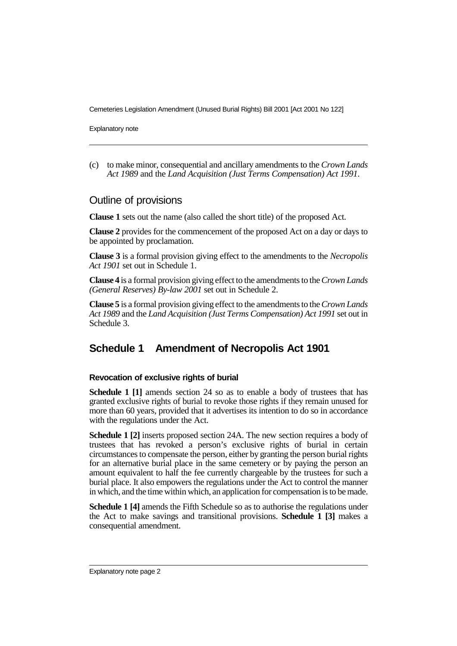Cemeteries Legislation Amendment (Unused Burial Rights) Bill 2001 [Act 2001 No 122]

Explanatory note

(c) to make minor, consequential and ancillary amendments to the *Crown Lands Act 1989* and the *Land Acquisition (Just Terms Compensation) Act 1991*.

#### Outline of provisions

**Clause 1** sets out the name (also called the short title) of the proposed Act.

**Clause 2** provides for the commencement of the proposed Act on a day or days to be appointed by proclamation.

**Clause 3** is a formal provision giving effect to the amendments to the *Necropolis Act 1901* set out in Schedule 1.

**Clause 4** is a formal provision giving effect to the amendments to the *Crown Lands (General Reserves) By-law 2001* set out in Schedule 2.

**Clause 5** is a formal provision giving effect to the amendments to the *Crown Lands Act 1989* and the *Land Acquisition (Just Terms Compensation) Act 1991* set out in Schedule 3.

## **Schedule 1 Amendment of Necropolis Act 1901**

#### **Revocation of exclusive rights of burial**

**Schedule 1 [1]** amends section 24 so as to enable a body of trustees that has granted exclusive rights of burial to revoke those rights if they remain unused for more than 60 years, provided that it advertises its intention to do so in accordance with the regulations under the Act.

**Schedule 1 [2]** inserts proposed section 24A. The new section requires a body of trustees that has revoked a person's exclusive rights of burial in certain circumstances to compensate the person, either by granting the person burial rights for an alternative burial place in the same cemetery or by paying the person an amount equivalent to half the fee currently chargeable by the trustees for such a burial place. It also empowers the regulations under the Act to control the manner in which, and the time within which, an application for compensation is to be made.

**Schedule 1 [4]** amends the Fifth Schedule so as to authorise the regulations under the Act to make savings and transitional provisions. **Schedule 1 [3]** makes a consequential amendment.